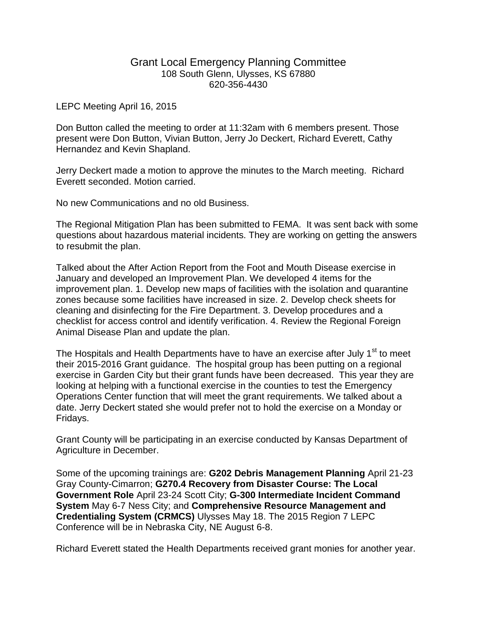## Grant Local Emergency Planning Committee 108 South Glenn, Ulysses, KS 67880 620-356-4430

## LEPC Meeting April 16, 2015

Don Button called the meeting to order at 11:32am with 6 members present. Those present were Don Button, Vivian Button, Jerry Jo Deckert, Richard Everett, Cathy Hernandez and Kevin Shapland.

Jerry Deckert made a motion to approve the minutes to the March meeting. Richard Everett seconded. Motion carried.

No new Communications and no old Business.

The Regional Mitigation Plan has been submitted to FEMA. It was sent back with some questions about hazardous material incidents. They are working on getting the answers to resubmit the plan.

Talked about the After Action Report from the Foot and Mouth Disease exercise in January and developed an Improvement Plan. We developed 4 items for the improvement plan. 1. Develop new maps of facilities with the isolation and quarantine zones because some facilities have increased in size. 2. Develop check sheets for cleaning and disinfecting for the Fire Department. 3. Develop procedures and a checklist for access control and identify verification. 4. Review the Regional Foreign Animal Disease Plan and update the plan.

The Hospitals and Health Departments have to have an exercise after July 1<sup>st</sup> to meet their 2015-2016 Grant guidance. The hospital group has been putting on a regional exercise in Garden City but their grant funds have been decreased. This year they are looking at helping with a functional exercise in the counties to test the Emergency Operations Center function that will meet the grant requirements. We talked about a date. Jerry Deckert stated she would prefer not to hold the exercise on a Monday or Fridays.

Grant County will be participating in an exercise conducted by Kansas Department of Agriculture in December.

Some of the upcoming trainings are: **G202 Debris Management Planning** April 21-23 Gray County-Cimarron; **G270.4 Recovery from Disaster Course: The Local Government Role** April 23-24 Scott City; **G-300 Intermediate Incident Command System** May 6-7 Ness City; and **Comprehensive Resource Management and Credentialing System (CRMCS)** Ulysses May 18. The 2015 Region 7 LEPC Conference will be in Nebraska City, NE August 6-8.

Richard Everett stated the Health Departments received grant monies for another year.